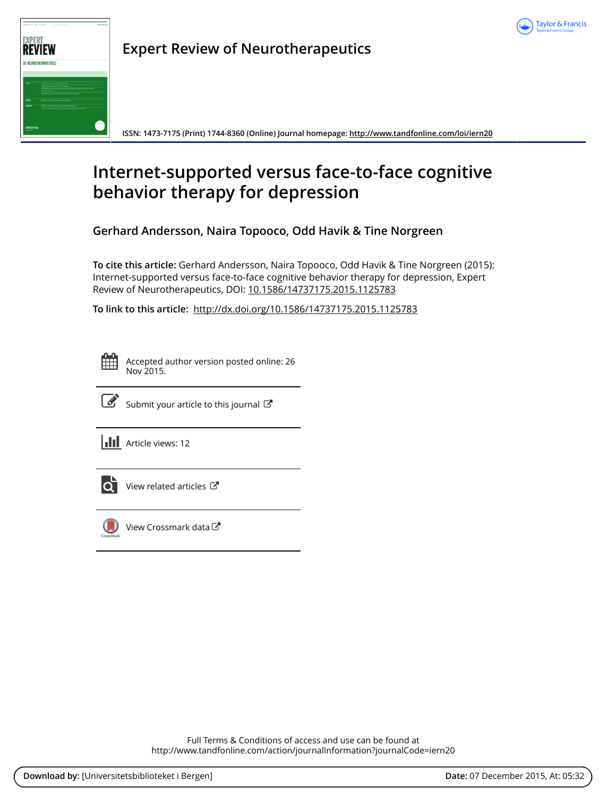



**Expert Review of Neurotherapeutics**

**ISSN: 1473-7175 (Print) 1744-8360 (Online) Journal homepage:<http://www.tandfonline.com/loi/iern20>**

# **Internet-supported versus face-to-face cognitive behavior therapy for depression**

**Gerhard Andersson, Naira Topooco, Odd Havik & Tine Norgreen**

**To cite this article:** Gerhard Andersson, Naira Topooco, Odd Havik & Tine Norgreen (2015): Internet-supported versus face-to-face cognitive behavior therapy for depression, Expert Review of Neurotherapeutics, DOI: [10.1586/14737175.2015.1125783](http://www.tandfonline.com/action/showCitFormats?doi=10.1586/14737175.2015.1125783)

**To link to this article:** <http://dx.doi.org/10.1586/14737175.2015.1125783>

Accepted author version posted online: 26 Nov 2015.



 $\overrightarrow{S}$  [Submit your article to this journal](http://www.tandfonline.com/action/authorSubmission?journalCode=iern20&page=instructions)  $\overrightarrow{S}$ 

**III** Article views: 12



 $\bullet$  [View related articles](http://www.tandfonline.com/doi/mlt/10.1586/14737175.2015.1125783)  $\sigma$ 



[View Crossmark data](http://crossmark.crossref.org/dialog/?doi=10.1586/14737175.2015.1125783&domain=pdf&date_stamp=2015-11-26)<sup>で</sup>

Full Terms & Conditions of access and use can be found at <http://www.tandfonline.com/action/journalInformation?journalCode=iern20>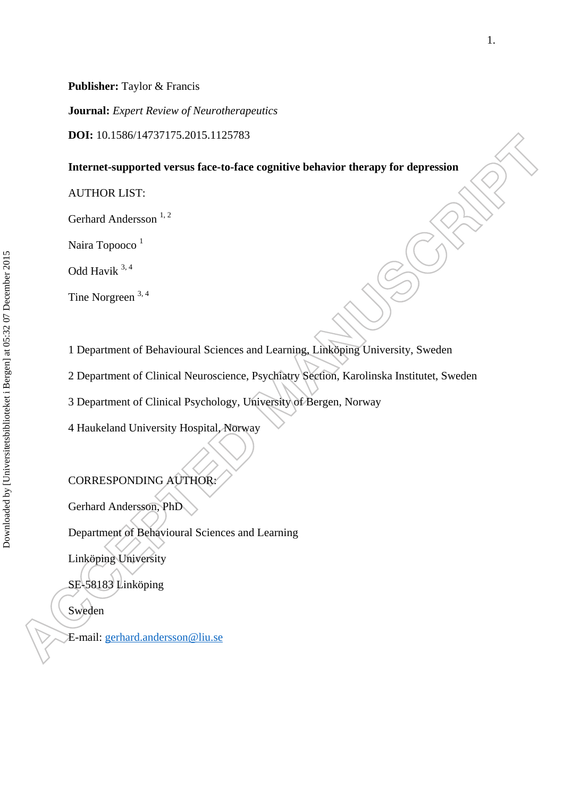**Journal:** *Expert Review of Neurotherapeutics* 

**DOI:** 10.1586/14737175.2015.1125783

### **Internet-supported versus face-to-face cognitive behavior therapy for depression**

AUTHOR LIST:

Gerhard Andersson<sup>1,2</sup>

Naira Topooco<sup>1</sup>

Odd Havik 3, 4

Tine Norgreen 3, 4

1 Department of Behavioural Sciences and Learning, Linköping University, Sweden

2 Department of Clinical Neuroscience, Psychiatry Section, Karolinska Institutet, Sweden

3 Department of Clinical Psychology, University of Bergen, Norway

4 Haukeland University Hospital, Norway

CORRESPONDING AUTHOR:

Gerhard Andersson, PhD

Department of Behavioural Sciences and Learning

Linköping University

SE-58183 Linköping

Sweden

E-mail: gerhard.andersson@liu.se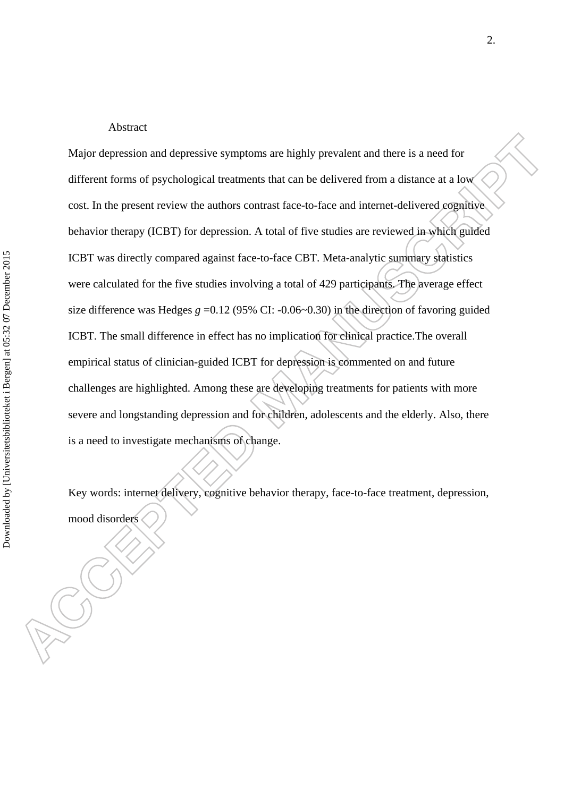#### Abstract

Major depression and depressive symptoms are highly prevalent and there is a need for different forms of psychological treatments that can be delivered from a distance at a low cost. In the present review the authors contrast face-to-face and internet-delivered cognitive behavior therapy (ICBT) for depression. A total of five studies are reviewed in which guided ICBT was directly compared against face-to-face CBT. Meta-analytic summary statistics were calculated for the five studies involving a total of 429 participants. The average effect size difference was Hedges  $g = 0.12$  (95% CI: -0.06~0.30) in the direction of favoring guided ICBT. The small difference in effect has no implication for clinical practice.The overall empirical status of clinician-guided ICBT for depression is commented on and future challenges are highlighted. Among these are developing treatments for patients with more severe and longstanding depression and for children, adolescents and the elderly. Also, there is a need to investigate mechanisms of change.

Key words: internet delivery, cognitive behavior therapy, face-to-face treatment, depression, mood disorders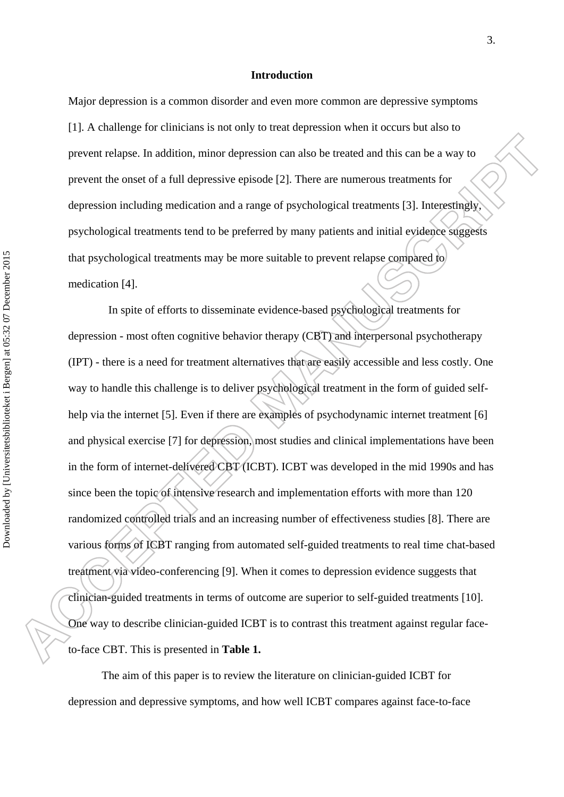#### **Introduction**

Major depression is a common disorder and even more common are depressive symptoms [1]. A challenge for clinicians is not only to treat depression when it occurs but also to prevent relapse. In addition, minor depression can also be treated and this can be a way to prevent the onset of a full depressive episode [2]. There are numerous treatments for depression including medication and a range of psychological treatments [3]. Interestingly, psychological treatments tend to be preferred by many patients and initial evidence suggests that psychological treatments may be more suitable to prevent relapse compared to medication [4].

In spite of efforts to disseminate evidence-based psychological treatments for depression - most often cognitive behavior therapy (CBT) and interpersonal psychotherapy (IPT) - there is a need for treatment alternatives that are easily accessible and less costly. One way to handle this challenge is to deliver psychological treatment in the form of guided selfhelp via the internet [5]. Even if there are examples of psychodynamic internet treatment [6] and physical exercise [7] for depression, most studies and clinical implementations have been in the form of internet-delivered CBT (ICBT). ICBT was developed in the mid 1990s and has since been the topic of intensive research and implementation efforts with more than 120 randomized controlled trials and an increasing number of effectiveness studies [8]. There are various forms of ICBT ranging from automated self-guided treatments to real time chat-based treatment via video-conferencing [9]. When it comes to depression evidence suggests that clinician-guided treatments in terms of outcome are superior to self-guided treatments [10]. One way to describe clinician-guided ICBT is to contrast this treatment against regular faceto-face CBT. This is presented in **Table 1.**

 The aim of this paper is to review the literature on clinician-guided ICBT for depression and depressive symptoms, and how well ICBT compares against face-to-face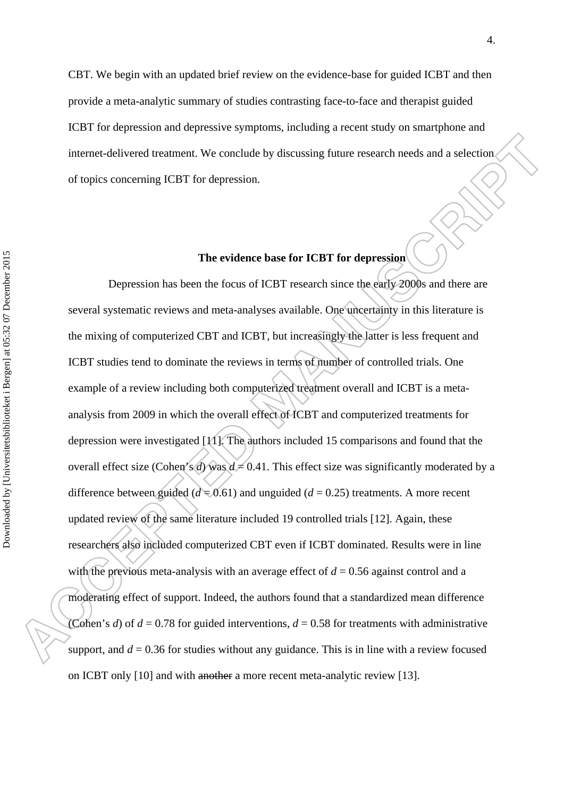CBT. We begin with an updated brief review on the evidence-base for guided ICBT and then provide a meta-analytic summary of studies contrasting face-to-face and therapist guided ICBT for depression and depressive symptoms, including a recent study on smartphone and internet-delivered treatment. We conclude by discussing future research needs and a selection of topics concerning ICBT for depression.

#### **The evidence base for ICBT for depression**

Depression has been the focus of ICBT research since the early 2000s and there are several systematic reviews and meta-analyses available. One uncertainty in this literature is the mixing of computerized CBT and ICBT, but increasingly the latter is less frequent and ICBT studies tend to dominate the reviews in terms of number of controlled trials. One example of a review including both computerized treatment overall and ICBT is a metaanalysis from 2009 in which the overall effect of ICBT and computerized treatments for depression were investigated [11]. The authors included 15 comparisons and found that the overall effect size (Cohen's *d*) was  $d = 0.41$ . This effect size was significantly moderated by a difference between guided ( $d = 0.61$ ) and unguided ( $d = 0.25$ ) treatments. A more recent updated review of the same literature included 19 controlled trials [12]. Again, these researchers also included computerized CBT even if ICBT dominated. Results were in line with the previous meta-analysis with an average effect of  $d = 0.56$  against control and a moderating effect of support. Indeed, the authors found that a standardized mean difference (Cohen's *d*) of  $d = 0.78$  for guided interventions,  $d = 0.58$  for treatments with administrative support, and  $d = 0.36$  for studies without any guidance. This is in line with a review focused on ICBT only [10] and with another a more recent meta-analytic review [13].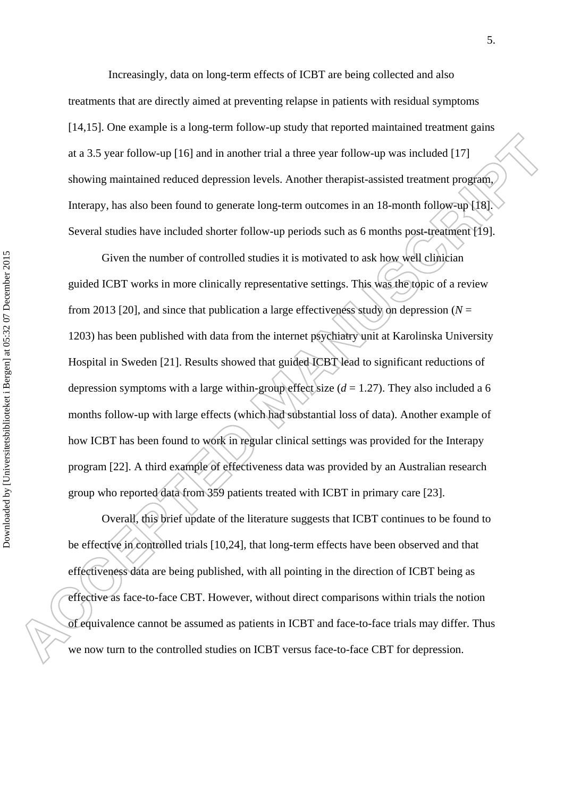Increasingly, data on long-term effects of ICBT are being collected and also treatments that are directly aimed at preventing relapse in patients with residual symptoms [14,15]. One example is a long-term follow-up study that reported maintained treatment gains at a 3.5 year follow-up [16] and in another trial a three year follow-up was included [17] showing maintained reduced depression levels. Another therapist-assisted treatment program, Interapy, has also been found to generate long-term outcomes in an 18-month follow-up [18]. Several studies have included shorter follow-up periods such as 6 months post-treatment [19].

 Given the number of controlled studies it is motivated to ask how well clinician guided ICBT works in more clinically representative settings. This was the topic of a review from 2013 [20], and since that publication a large effectiveness study on depression (*N* = 1203) has been published with data from the internet psychiatry unit at Karolinska University Hospital in Sweden [21]. Results showed that guided ICBT lead to significant reductions of depression symptoms with a large within-group effect size  $(d = 1.27)$ . They also included a 6 months follow-up with large effects (which had substantial loss of data). Another example of how ICBT has been found to work in regular clinical settings was provided for the Interapy program [22]. A third example of effectiveness data was provided by an Australian research group who reported data from 359 patients treated with ICBT in primary care [23].

 Overall, this brief update of the literature suggests that ICBT continues to be found to be effective in controlled trials [10,24], that long-term effects have been observed and that effectiveness data are being published, with all pointing in the direction of ICBT being as effective as face-to-face CBT. However, without direct comparisons within trials the notion of equivalence cannot be assumed as patients in ICBT and face-to-face trials may differ. Thus we now turn to the controlled studies on ICBT versus face-to-face CBT for depression.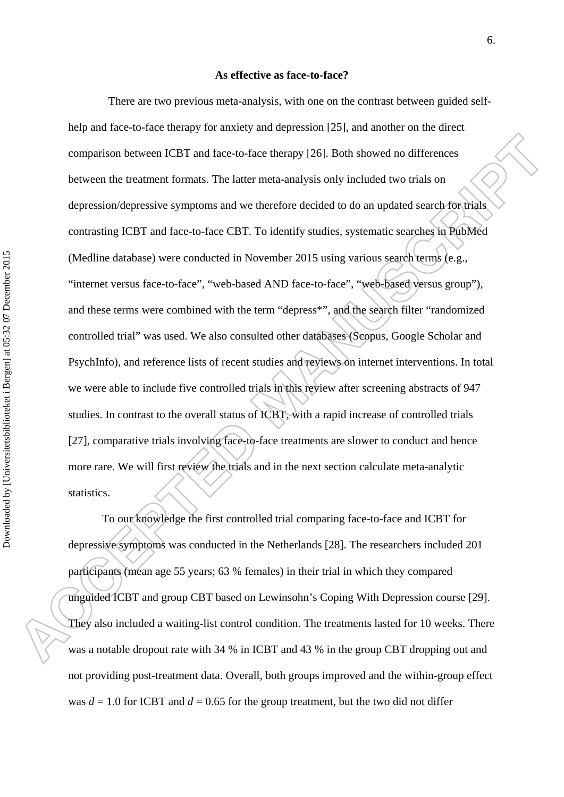#### **As effective as face-to-face?**

There are two previous meta-analysis, with one on the contrast between guided selfhelp and face-to-face therapy for anxiety and depression [25], and another on the direct comparison between ICBT and face-to-face therapy [26]. Both showed no differences between the treatment formats. The latter meta-analysis only included two trials on depression/depressive symptoms and we therefore decided to do an updated search for trials contrasting ICBT and face-to-face CBT. To identify studies, systematic searches in PubMed (Medline database) were conducted in November 2015 using various search terms (e.g., "internet versus face-to-face", "web-based AND face-to-face", "web-based versus group"), and these terms were combined with the term "depress\*", and the search filter "randomized controlled trial" was used. We also consulted other databases (Scopus, Google Scholar and PsychInfo), and reference lists of recent studies and reviews on internet interventions. In total we were able to include five controlled trials in this review after screening abstracts of 947 studies. In contrast to the overall status of ICBT, with a rapid increase of controlled trials [27], comparative trials involving face-to-face treatments are slower to conduct and hence more rare. We will first review the trials and in the next section calculate meta-analytic statistics.

To our knowledge the first controlled trial comparing face-to-face and ICBT for depressive symptoms was conducted in the Netherlands [28]. The researchers included 201 participants (mean age 55 years; 63 % females) in their trial in which they compared unguided ICBT and group CBT based on Lewinsohn's Coping With Depression course [29]. They also included a waiting-list control condition. The treatments lasted for 10 weeks. There was a notable dropout rate with 34 % in ICBT and 43 % in the group CBT dropping out and not providing post-treatment data. Overall, both groups improved and the within-group effect was  $d = 1.0$  for ICBT and  $d = 0.65$  for the group treatment, but the two did not differ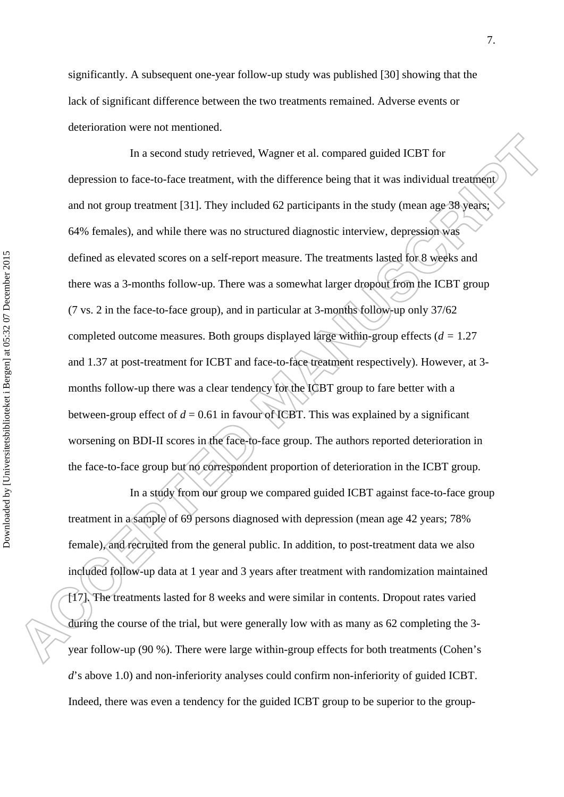significantly. A subsequent one-year follow-up study was published [30] showing that the lack of significant difference between the two treatments remained. Adverse events or deterioration were not mentioned.

In a second study retrieved, Wagner et al. compared guided ICBT for depression to face-to-face treatment, with the difference being that it was individual treatment and not group treatment [31]. They included 62 participants in the study (mean age 38 years; 64% females), and while there was no structured diagnostic interview, depression was defined as elevated scores on a self-report measure. The treatments lasted for 8 weeks and there was a 3-months follow-up. There was a somewhat larger dropout from the ICBT group (7 vs. 2 in the face-to-face group), and in particular at 3-months follow-up only 37/62 completed outcome measures. Both groups displayed large within-group effects (*d =* 1.27 and 1.37 at post-treatment for ICBT and face-to-face treatment respectively). However, at 3 months follow-up there was a clear tendency for the ICBT group to fare better with a between-group effect of  $d = 0.61$  in favour of ICBT. This was explained by a significant worsening on BDI-II scores in the face-to-face group. The authors reported deterioration in the face-to-face group but no correspondent proportion of deterioration in the ICBT group.

In a study from our group we compared guided ICBT against face-to-face group treatment in a sample of 69 persons diagnosed with depression (mean age 42 years; 78% female), and recruited from the general public. In addition, to post-treatment data we also included follow-up data at 1 year and 3 years after treatment with randomization maintained [17]. The treatments lasted for 8 weeks and were similar in contents. Dropout rates varied during the course of the trial, but were generally low with as many as 62 completing the 3 year follow-up (90 %). There were large within-group effects for both treatments (Cohen's *d*'s above 1.0) and non-inferiority analyses could confirm non-inferiority of guided ICBT. Indeed, there was even a tendency for the guided ICBT group to be superior to the group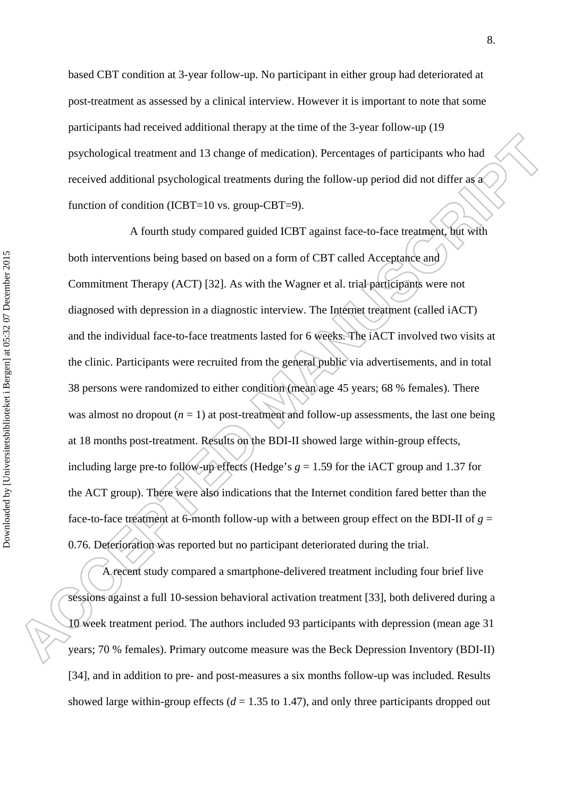based CBT condition at 3-year follow-up. No participant in either group had deteriorated at post-treatment as assessed by a clinical interview. However it is important to note that some participants had received additional therapy at the time of the 3-year follow-up (19 psychological treatment and 13 change of medication). Percentages of participants who had received additional psychological treatments during the follow-up period did not differ as a function of condition (ICBT=10 vs. group-CBT=9).

A fourth study compared guided ICBT against face-to-face treatment, but with both interventions being based on based on a form of CBT called Acceptance and Commitment Therapy (ACT) [32]. As with the Wagner et al. trial participants were not diagnosed with depression in a diagnostic interview. The Internet treatment (called iACT) and the individual face-to-face treatments lasted for 6 weeks. The iACT involved two visits at the clinic. Participants were recruited from the general public via advertisements, and in total 38 persons were randomized to either condition (mean age 45 years; 68 % females). There was almost no dropout  $(n = 1)$  at post-treatment and follow-up assessments, the last one being at 18 months post-treatment. Results on the BDI-II showed large within-group effects, including large pre-to follow-up effects (Hedge's  $g = 1.59$  for the iACT group and 1.37 for the ACT group). There were also indications that the Internet condition fared better than the face-to-face treatment at 6-month follow-up with a between group effect on the BDI-II of  $g =$ 0.76. Deterioration was reported but no participant deteriorated during the trial.

A recent study compared a smartphone-delivered treatment including four brief live sessions against a full 10-session behavioral activation treatment [33], both delivered during a 10 week treatment period. The authors included 93 participants with depression (mean age 31 years; 70 % females). Primary outcome measure was the Beck Depression Inventory (BDI-II) [34], and in addition to pre- and post-measures a six months follow-up was included. Results showed large within-group effects  $(d = 1.35$  to 1.47), and only three participants dropped out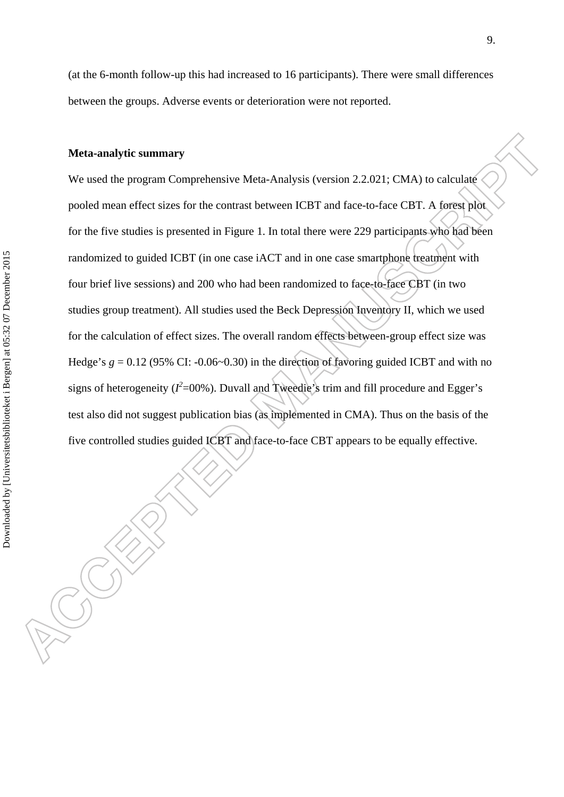(at the 6-month follow-up this had increased to 16 participants). There were small differences between the groups. Adverse events or deterioration were not reported.

#### **Meta-analytic summary**

We used the program Comprehensive Meta-Analysis (version 2.2.021; CMA) to calculate pooled mean effect sizes for the contrast between ICBT and face-to-face CBT. A forest plot for the five studies is presented in Figure 1. In total there were 229 participants who had been randomized to guided ICBT (in one case iACT and in one case smartphone treatment with four brief live sessions) and 200 who had been randomized to face-to-face CBT (in two studies group treatment). All studies used the Beck Depression Inventory II, which we used for the calculation of effect sizes. The overall random effects between-group effect size was Hedge's  $g = 0.12$  (95% CI: -0.06~0.30) in the direction of favoring guided ICBT and with no signs of heterogeneity ( $I^2$ =00%). Duvall and Tweedie's trim and fill procedure and Egger's test also did not suggest publication bias (as implemented in CMA). Thus on the basis of the five controlled studies guided ICBT and face-to-face CBT appears to be equally effective.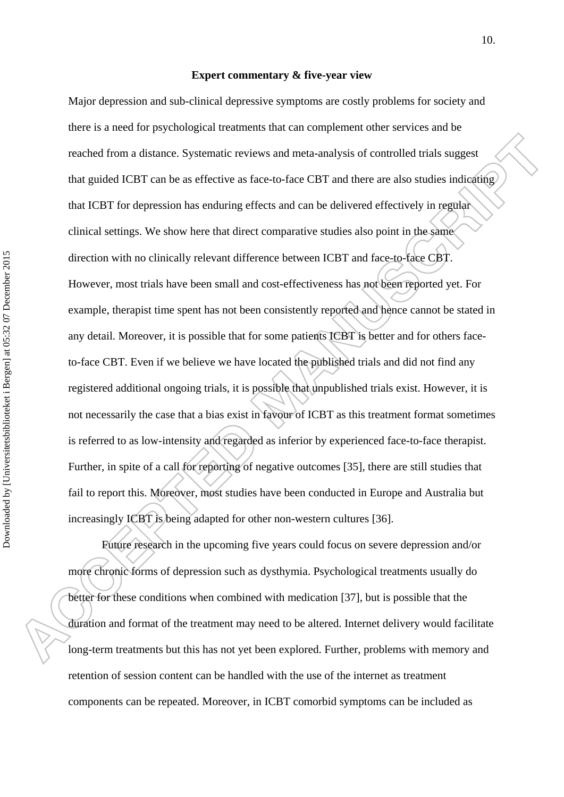#### **Expert commentary & five-year view**

Major depression and sub-clinical depressive symptoms are costly problems for society and there is a need for psychological treatments that can complement other services and be reached from a distance. Systematic reviews and meta-analysis of controlled trials suggest that guided ICBT can be as effective as face-to-face CBT and there are also studies indicating that ICBT for depression has enduring effects and can be delivered effectively in regular clinical settings. We show here that direct comparative studies also point in the same direction with no clinically relevant difference between ICBT and face-to-face CBT. However, most trials have been small and cost-effectiveness has not been reported yet. For example, therapist time spent has not been consistently reported and hence cannot be stated in any detail. Moreover, it is possible that for some patients ICBT is better and for others faceto-face CBT. Even if we believe we have located the published trials and did not find any registered additional ongoing trials, it is possible that unpublished trials exist. However, it is not necessarily the case that a bias exist in favour of ICBT as this treatment format sometimes is referred to as low-intensity and regarded as inferior by experienced face-to-face therapist. Further, in spite of a call for reporting of negative outcomes [35], there are still studies that fail to report this. Moreover, most studies have been conducted in Europe and Australia but increasingly ICBT is being adapted for other non-western cultures [36].

 Future research in the upcoming five years could focus on severe depression and/or more chronic forms of depression such as dysthymia. Psychological treatments usually do better for these conditions when combined with medication [37], but is possible that the duration and format of the treatment may need to be altered. Internet delivery would facilitate long-term treatments but this has not yet been explored. Further, problems with memory and retention of session content can be handled with the use of the internet as treatment components can be repeated. Moreover, in ICBT comorbid symptoms can be included as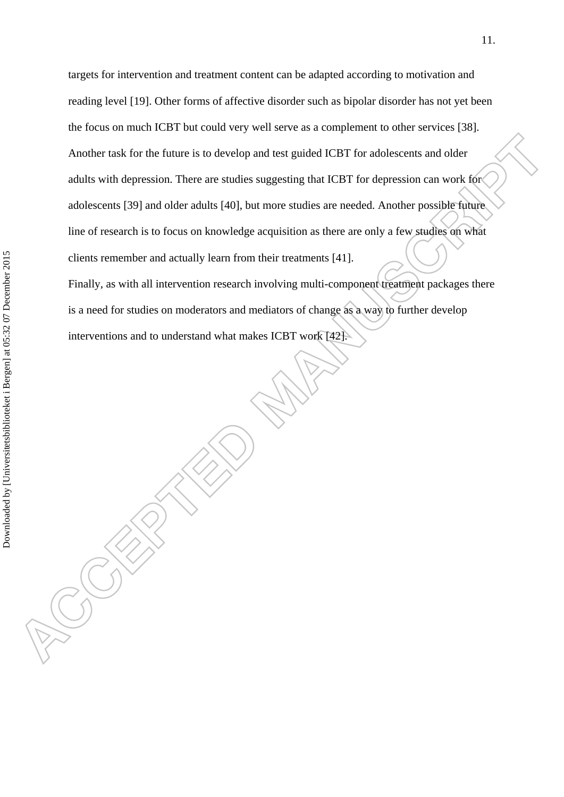targets for intervention and treatment content can be adapted according to motivation and reading level [19]. Other forms of affective disorder such as bipolar disorder has not yet been the focus on much ICBT but could very well serve as a complement to other services [38]. Another task for the future is to develop and test guided ICBT for adolescents and older adults with depression. There are studies suggesting that ICBT for depression can work for adolescents [39] and older adults [40], but more studies are needed. Another possible future line of research is to focus on knowledge acquisition as there are only a few studies on what clients remember and actually learn from their treatments [41].

Finally, as with all intervention research involving multi-component treatment packages there is a need for studies on moderators and mediators of change as a way to further develop interventions and to understand what makes ICBT work [42].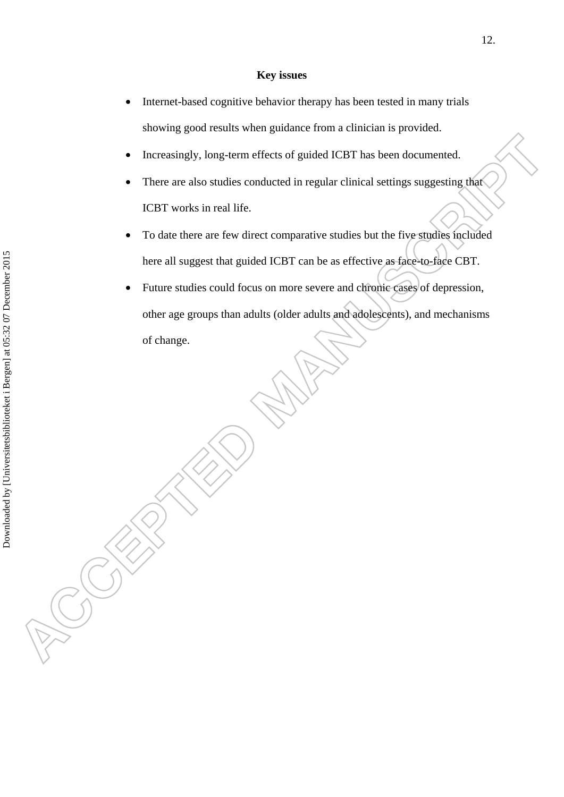#### **Key issues**

- Internet-based cognitive behavior therapy has been tested in many trials showing good results when guidance from a clinician is provided.
- Increasingly, long-term effects of guided ICBT has been documented.
- There are also studies conducted in regular clinical settings suggesting that ICBT works in real life.
- To date there are few direct comparative studies but the five studies included here all suggest that guided ICBT can be as effective as face-to-face CBT.
- Future studies could focus on more severe and chronic cases of depression, other age groups than adults (older adults and adolescents), and mechanisms of change.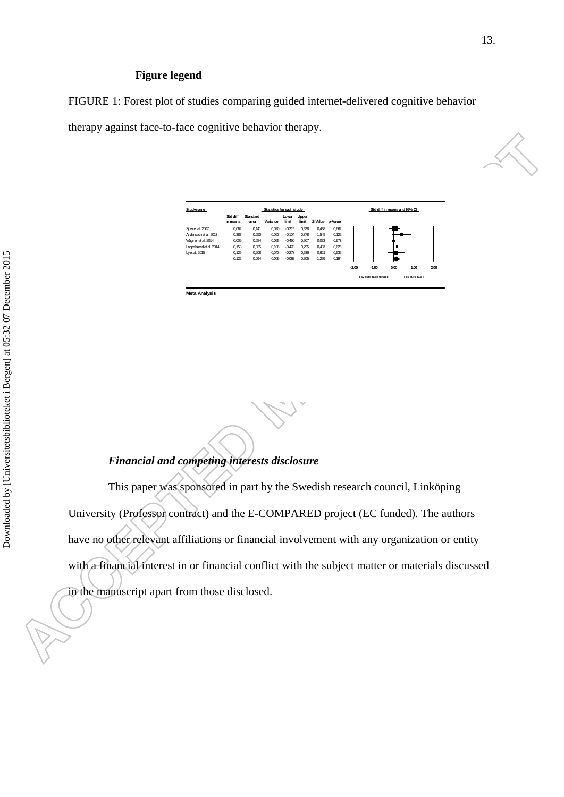### **Figure legend**

FIGURE 1: Forest plot of studies comparing guided internet-delivered cognitive behavior

therapy against face-to-face cognitive behavior therapy.



| Studyname               | Statistics for each study |                   |          |                |                |                 |       |                       | Std diff in means and 95% CI |      |                     |      |
|-------------------------|---------------------------|-------------------|----------|----------------|----------------|-----------------|-------|-----------------------|------------------------------|------|---------------------|------|
|                         | Std diff<br>in means      | Standard<br>error | Variance | Lower<br>limit | Upper<br>limit | Z-Value p-Value |       |                       |                              |      |                     |      |
| Speket al. 2007         | 0.062                     | 0.141             | 0,020    | $-0,215$       | 0,338          | 0.438           | 0.662 |                       |                              |      |                     |      |
| Andersson et al. 2013   | 0,387                     | 0,250             | 0,063    | $-0.104$       | 0,878          | 1,545           | 0,122 |                       |                              |      |                     |      |
| Wagner et al. 2014      | 0,009                     | 0,254             | 0,065    | $-0,490$       | 0,507          | 0.033           | 0.973 |                       |                              |      |                     |      |
| Lappalained et al. 2014 | 0,158                     | 0,325             | 0,106    | $-0.478$       | 0.795          | 0.487           | 0.626 |                       |                              |      |                     |      |
| Lyet al. 2015           | 0,129                     | 0,208             | 0.043    | $-0.278$       | 0,536          | 0.621           | 0,535 |                       |                              |      |                     |      |
|                         | 0.122                     | 0.094             | 0.009    | $-0,062$       | 0,305          | 1,299           | 0.194 |                       |                              |      |                     |      |
|                         |                           |                   |          |                |                |                 |       | $-2.00$               | $-1.00$                      | 0.00 | 1,00                | 2,00 |
|                         |                           |                   |          |                |                |                 |       | Fav ours face-to-face |                              |      | <b>Favours ICRT</b> |      |

**Meta Analysis**

# *Financial and competing interests disclosure*

This paper was sponsored in part by the Swedish research council, Linköping University (Professor contract) and the E-COMPARED project (EC funded). The authors have no other relevant affiliations or financial involvement with any organization or entity with a financial interest in or financial conflict with the subject matter or materials discussed in the manuscript apart from those disclosed.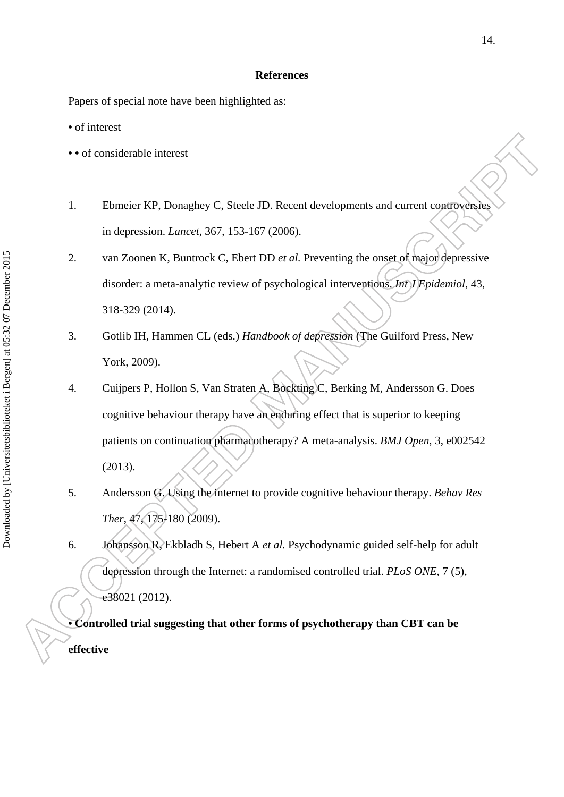#### **References**

Papers of special note have been highlighted as:

**•** of interest

- **•** of considerable interest
- 1. Ebmeier KP, Donaghey C, Steele JD. Recent developments and current controversies in depression. *Lancet*, 367, 153-167 (2006).
- 2. van Zoonen K, Buntrock C, Ebert DD *et al.* Preventing the onset of major depressive disorder: a meta-analytic review of psychological interventions. *Int J Epidemiol*, 43, 318-329 (2014).
- 3. Gotlib IH, Hammen CL (eds.) *Handbook of depression* (The Guilford Press, New York, 2009).
- 4. Cuijpers P, Hollon S, Van Straten A, Bockting C, Berking M, Andersson G. Does cognitive behaviour therapy have an enduring effect that is superior to keeping patients on continuation pharmacotherapy? A meta-analysis. *BMJ Open*, 3, e002542 (2013).
- 5. Andersson G. Using the internet to provide cognitive behaviour therapy. *Behav Res Ther*, 47, 175-180 (2009).
- 6. Johansson R, Ekbladh S, Hebert A *et al.* Psychodynamic guided self-help for adult depression through the Internet: a randomised controlled trial. *PLoS ONE*, 7 (5), e38021 (2012).

**• Controlled trial suggesting that other forms of psychotherapy than CBT can be effective**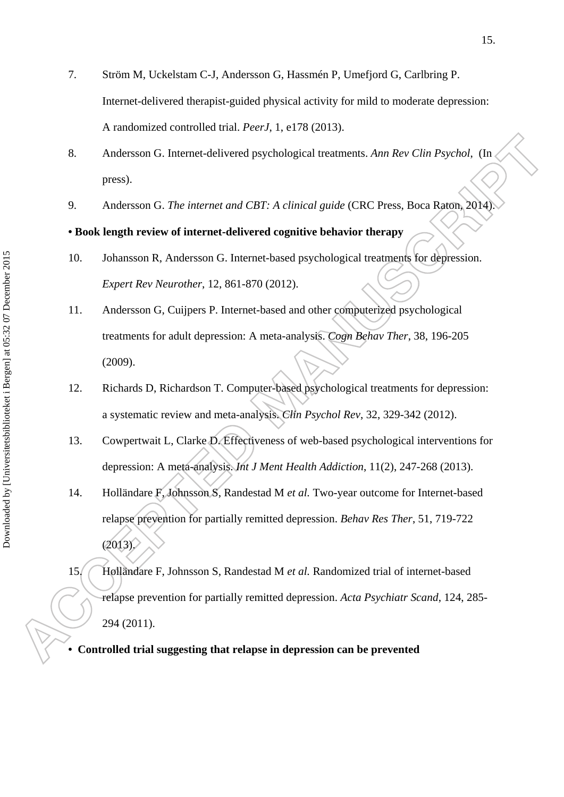- 7. Ström M, Uckelstam C-J, Andersson G, Hassmén P, Umefjord G, Carlbring P. Internet-delivered therapist-guided physical activity for mild to moderate depression: A randomized controlled trial. *PeerJ*, 1, e178 (2013).
- 8. Andersson G. Internet-delivered psychological treatments. *Ann Rev Clin Psychol*, (In press).
- 9. Andersson G. *The internet and CBT: A clinical guide* (CRC Press, Boca Raton, 2014).

# **• Book length review of internet-delivered cognitive behavior therapy**

- 10. Johansson R, Andersson G. Internet-based psychological treatments for depression. *Expert Rev Neurother*, 12, 861-870 (2012).
- 11. Andersson G, Cuijpers P. Internet-based and other computerized psychological treatments for adult depression: A meta-analysis. *Cogn Behav Ther*, 38, 196-205 (2009).
- 12. Richards D, Richardson T. Computer-based psychological treatments for depression: a systematic review and meta-analysis. *Clin Psychol Rev*, 32, 329-342 (2012).
- 13. Cowpertwait L, Clarke D. Effectiveness of web-based psychological interventions for depression: A meta-analysis. *Int J Ment Health Addiction*, 11(2), 247-268 (2013).
- 14. Holländare F, Johnsson S, Randestad M *et al.* Two-year outcome for Internet-based relapse prevention for partially remitted depression. *Behav Res Ther*, 51, 719-722  $(2013)$ .
- 15. Holländare F, Johnsson S, Randestad M *et al.* Randomized trial of internet-based relapse prevention for partially remitted depression. *Acta Psychiatr Scand*, 124, 285- 294 (2011).

**• Controlled trial suggesting that relapse in depression can be prevented**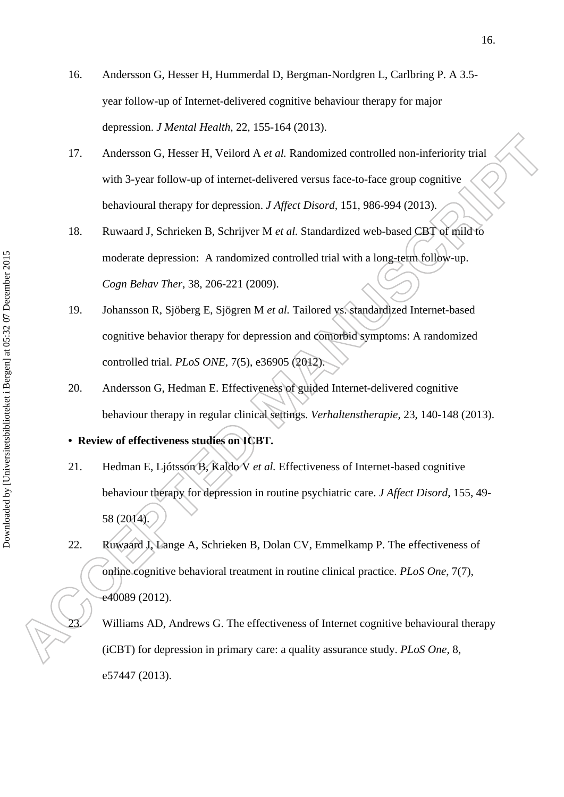- 16. Andersson G, Hesser H, Hummerdal D, Bergman-Nordgren L, Carlbring P. A 3.5 year follow-up of Internet-delivered cognitive behaviour therapy for major depression. *J Mental Health*, 22, 155-164 (2013).
- 17. Andersson G, Hesser H, Veilord A *et al.* Randomized controlled non-inferiority trial with 3-year follow-up of internet-delivered versus face-to-face group cognitive behavioural therapy for depression. *J Affect Disord*, 151, 986-994 (2013).
- 18. Ruwaard J, Schrieken B, Schrijver M *et al.* Standardized web-based CBT of mild to moderate depression: A randomized controlled trial with a long-term follow-up. *Cogn Behav Ther*, 38, 206-221 (2009).
- 19. Johansson R, Sjöberg E, Sjögren M *et al.* Tailored vs. standardized Internet-based cognitive behavior therapy for depression and comorbid symptoms: A randomized controlled trial. *PLoS ONE*, 7(5), e36905 (2012).
- 20. Andersson G, Hedman E. Effectiveness of guided Internet-delivered cognitive behaviour therapy in regular clinical settings. *Verhaltenstherapie*, 23, 140-148 (2013).
- **Review of effectiveness studies on ICBT.**
- 21. Hedman E, Ljótsson B, Kaldo V *et al.* Effectiveness of Internet-based cognitive behaviour therapy for depression in routine psychiatric care. *J Affect Disord*, 155, 49- 58 (2014).
- 22. Ruwaard J, Lange A, Schrieken B, Dolan CV, Emmelkamp P. The effectiveness of online cognitive behavioral treatment in routine clinical practice. *PLoS One*, 7(7), e40089 (2012).

Williams AD, Andrews G. The effectiveness of Internet cognitive behavioural therapy (iCBT) for depression in primary care: a quality assurance study. *PLoS One*, 8, e57447 (2013).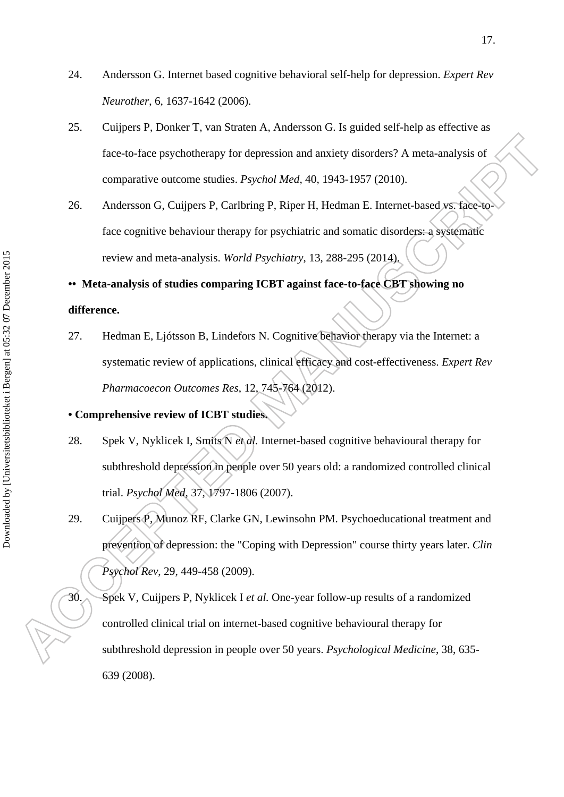- 24. Andersson G. Internet based cognitive behavioral self-help for depression. *Expert Rev Neurother*, 6, 1637-1642 (2006).
- 25. Cuijpers P, Donker T, van Straten A, Andersson G. Is guided self-help as effective as face-to-face psychotherapy for depression and anxiety disorders? A meta-analysis of comparative outcome studies. *Psychol Med*, 40, 1943-1957 (2010).
- 26. Andersson G, Cuijpers P, Carlbring P, Riper H, Hedman E. Internet-based vs. face-toface cognitive behaviour therapy for psychiatric and somatic disorders: a systematic review and meta-analysis. *World Psychiatry*, 13, 288-295 (2014).

# **•• Meta-analysis of studies comparing ICBT against face-to-face CBT showing no difference.**

27. Hedman E, Ljótsson B, Lindefors N. Cognitive behavior therapy via the Internet: a systematic review of applications, clinical efficacy and cost-effectiveness. *Expert Rev Pharmacoecon Outcomes Res*, 12, 745-764 (2012).

# **• Comprehensive review of ICBT studies.**

- 28. Spek V, Nyklicek I, Smits N *et al.* Internet-based cognitive behavioural therapy for subthreshold depression in people over 50 years old: a randomized controlled clinical trial. *Psychol Med*, 37, 1797-1806 (2007).
- 29. Cuijpers P, Munoz RF, Clarke GN, Lewinsohn PM. Psychoeducational treatment and prevention of depression: the "Coping with Depression" course thirty years later. *Clin Psychol Rev*, 29, 449-458 (2009).

30. Spek V, Cuijpers P, Nyklicek I *et al.* One-year follow-up results of a randomized controlled clinical trial on internet-based cognitive behavioural therapy for subthreshold depression in people over 50 years. *Psychological Medicine*, 38, 635- 639 (2008).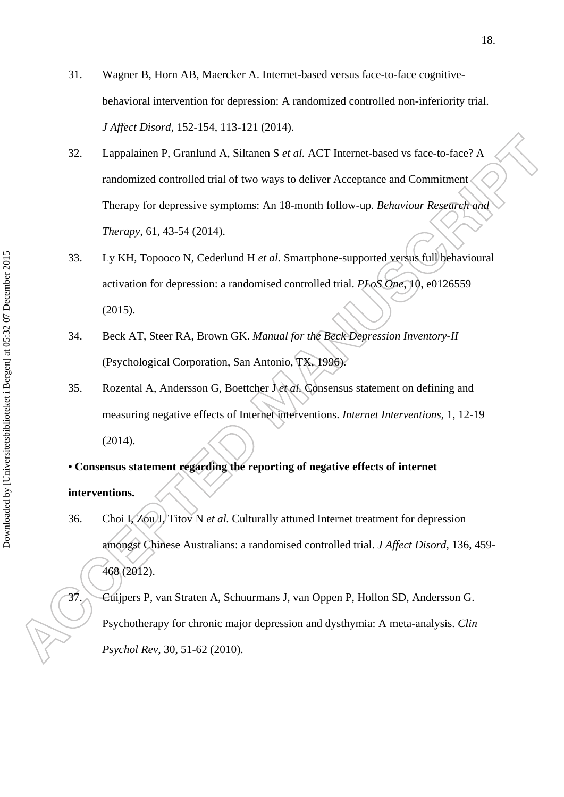- 31. Wagner B, Horn AB, Maercker A. Internet-based versus face-to-face cognitivebehavioral intervention for depression: A randomized controlled non-inferiority trial. *J Affect Disord*, 152-154, 113-121 (2014).
- 32. Lappalainen P, Granlund A, Siltanen S *et al.* ACT Internet-based vs face-to-face? A randomized controlled trial of two ways to deliver Acceptance and Commitment Therapy for depressive symptoms: An 18-month follow-up. *Behaviour Research and Therapy*, 61, 43-54 (2014).
- 33. Ly KH, Topooco N, Cederlund H *et al.* Smartphone-supported versus full behavioural activation for depression: a randomised controlled trial. *PLoS One*, 10, e0126559 (2015).
- 34. Beck AT, Steer RA, Brown GK. *Manual for the Beck Depression Inventory-II*  (Psychological Corporation, San Antonio, TX, 1996).
- 35. Rozental A, Andersson G, Boettcher J *et al.* Consensus statement on defining and measuring negative effects of Internet interventions. *Internet Interventions*, 1, 12-19 (2014).
- **Consensus statement regarding the reporting of negative effects of internet**

# **interventions.**

36. Choi I, Zou J, Titov N *et al.* Culturally attuned Internet treatment for depression amongst Chinese Australians: a randomised controlled trial. *J Affect Disord*, 136, 459- 468 (2012).

37. Cuijpers P, van Straten A, Schuurmans J, van Oppen P, Hollon SD, Andersson G. Psychotherapy for chronic major depression and dysthymia: A meta-analysis. *Clin Psychol Rev*, 30, 51-62 (2010).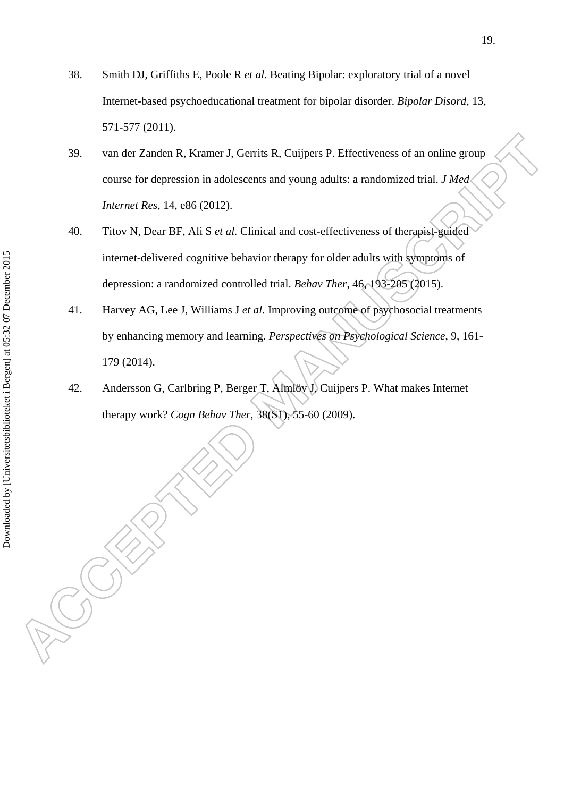- 38. Smith DJ, Griffiths E, Poole R *et al.* Beating Bipolar: exploratory trial of a novel Internet-based psychoeducational treatment for bipolar disorder. *Bipolar Disord*, 13, 571-577 (2011).
- 39. van der Zanden R, Kramer J, Gerrits R, Cuijpers P. Effectiveness of an online group course for depression in adolescents and young adults: a randomized trial. *J Med Internet Res*, 14, e86 (2012).
- 40. Titov N, Dear BF, Ali S *et al.* Clinical and cost-effectiveness of therapist-guided internet-delivered cognitive behavior therapy for older adults with symptoms of depression: a randomized controlled trial. *Behav Ther*, 46, 193-205 (2015).
- 41. Harvey AG, Lee J, Williams J *et al.* Improving outcome of psychosocial treatments by enhancing memory and learning. *Perspectives on Psychological Science*, 9, 161- 179 (2014).
- 42. Andersson G, Carlbring P, Berger T, Almlöv J, Cuijpers P. What makes Internet therapy work? *Cogn Behav Ther*, 38(S1), 55-60 (2009).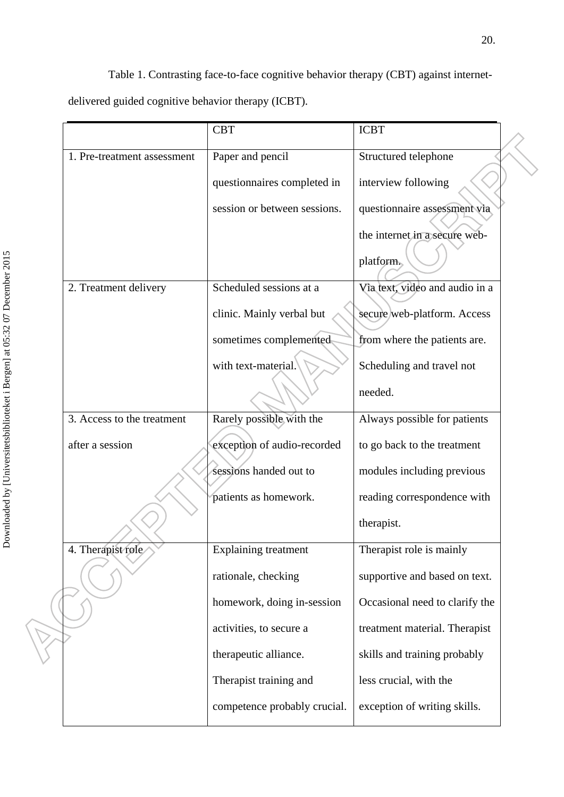Table 1. Contrasting face-to-face cognitive behavior therapy (CBT) against internetdelivered guided cognitive behavior therapy (ICBT).

|                             | <b>CBT</b>                   | <b>ICBT</b>                    |  |
|-----------------------------|------------------------------|--------------------------------|--|
| 1. Pre-treatment assessment | Paper and pencil             | Structured telephone           |  |
|                             | questionnaires completed in  | interview following            |  |
|                             | session or between sessions. | questionnaire assessment via   |  |
|                             |                              | the internet in a secure web-  |  |
|                             |                              | platform.                      |  |
| 2. Treatment delivery       | Scheduled sessions at a      | Via text, video and audio in a |  |
|                             | clinic. Mainly verbal but    | secure web-platform. Access    |  |
|                             | sometimes complemented       | from where the patients are.   |  |
|                             | with text-material.          | Scheduling and travel not      |  |
|                             |                              | needed.                        |  |
| 3. Access to the treatment  | Rarely possible with the     | Always possible for patients   |  |
| after a session             | exception of audio-recorded  | to go back to the treatment    |  |
|                             | sessions handed out to       | modules including previous     |  |
|                             | patients as homework.        | reading correspondence with    |  |
|                             |                              | therapist.                     |  |
| 4. Therapist role           | <b>Explaining treatment</b>  | Therapist role is mainly       |  |
|                             | rationale, checking          | supportive and based on text.  |  |
|                             | homework, doing in-session   | Occasional need to clarify the |  |
|                             | activities, to secure a      | treatment material. Therapist  |  |
|                             | therapeutic alliance.        | skills and training probably   |  |
|                             | Therapist training and       | less crucial, with the         |  |
|                             | competence probably crucial. | exception of writing skills.   |  |
|                             |                              |                                |  |